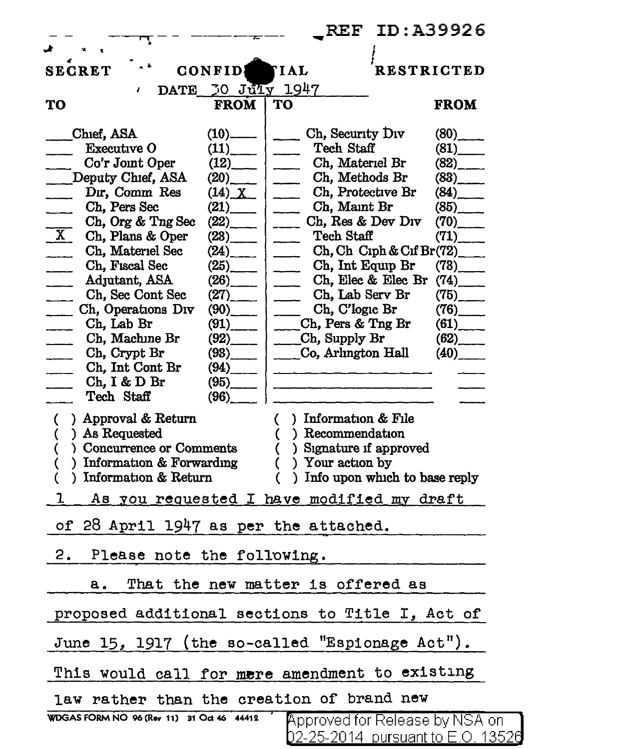|                                                               | <b>REF ID: A39926</b>                                                                                          |
|---------------------------------------------------------------|----------------------------------------------------------------------------------------------------------------|
|                                                               |                                                                                                                |
| <b>SECRET</b><br><b>CONFID</b>                                | <b>RESTRICTED</b><br><b>TIAL</b>                                                                               |
| DATE 30 JULY 1947<br>ı                                        |                                                                                                                |
| TO<br><b>FROM</b>                                             | <b>FROM</b><br>TO                                                                                              |
| Chief, ASA<br>$(10)$ <sub>————</sub>                          | Ch, Security Div<br>$(80)$ <sub>_____</sub>                                                                    |
| <b>Executive O</b><br>(11)                                    | Tech Staff<br>(81)                                                                                             |
| (12)<br>Co'r Joint Oper                                       | Ch, Materiel Br<br>$(82)$ <sub>_____</sub>                                                                     |
| Deputy Chief, ASA<br>$(20)$ <sub>____</sub>                   | Ch, Methods Br<br>(83)                                                                                         |
| Dır, Comm Res<br>$(14)$ $X$                                   | Ch, Protective Br<br>$(84)$ <sub>____</sub>                                                                    |
| Ch, Pers Sec<br>(21)                                          | Ch, Maint Br<br>(85)                                                                                           |
| Ch, Org & Tng Sec<br>(22)                                     | Ch, Res & Dev Div<br>$(70)$ <sub>_____</sub>                                                                   |
| $\overline{\mathbf{x}}$<br>Ch, Plans & Oper<br>(23)           | Tech Staff<br>(71)                                                                                             |
| $\overline{\phantom{a}}$<br>Ch, Materiel Sec                  | $Ch, Ch$ Ciph & Cif Br $(72)$                                                                                  |
| Ch, Fiscal Sec<br>(25)                                        | Ch, Int Equip Br<br>$(73)$ <sub>______</sub>                                                                   |
| (26)<br>Adjutant, ASA<br>$\overline{\phantom{a}}$             | Ch, Elec & Elec Br $(74)$                                                                                      |
| Ch, Sec Cont Sec<br>(27)<br>a sa sa                           | Ch, Lab Serv Br<br>$(75)$ <sub>_____</sub><br>$\overline{\phantom{a}}$                                         |
| Ch, Operations Div<br>$(90)$ <sub>---</sub><br>$\overline{a}$ | $\frac{1}{\sqrt{1-\frac{1}{2}}}$ Ch, C'logic Br<br>$(76)$ <sub>_____</sub>                                     |
| Ch, Lab Br<br>(91)<br>$\overline{\phantom{a}}$                | (61)<br>$Ch$ , Pers & Tng Br                                                                                   |
| Ch, Machine Br<br>(92)<br>$\sim 10^{-1}$                      | $(62)$ <sub>____</sub><br>Ch, Supply Br                                                                        |
| Ch, Crypt Br<br>(93)                                          | Co, Arlington Hall<br>(40)                                                                                     |
| Ch, Int Cont Br                                               |                                                                                                                |
| Ch, I & D Br<br>(95)                                          | a na matangana na kalendar sa kalendar na kalendar na kalendar na kalendar na kalendar na kalendar na kalendar |
| Tech Staff<br>(96)                                            |                                                                                                                |
| ) Approval & Return                                           | $\left($<br>) Information $&$ File                                                                             |
| C<br>) As Requested                                           | ) Recommendation                                                                                               |
| (<br>) Concurrence or Comments<br>(                           | €<br>) Signature if approved                                                                                   |
| ) Information & Forwarding                                    | €<br>) Your action by                                                                                          |
| (<br>) Information & Return                                   | €<br>) Info upon which to base reply                                                                           |
|                                                               |                                                                                                                |
| ı                                                             | <u>As you requested I have modified my draft</u>                                                               |
| of 28 April 1947 as per the attached.                         |                                                                                                                |
| 2.<br>Please note the following.                              |                                                                                                                |
| а.                                                            | That the new matter is offered as                                                                              |
|                                                               | proposed additional sections to Title I, Act of                                                                |
|                                                               | June 15, 1917 (the so-called "Espionage Act").                                                                 |
|                                                               | This would call for mere amendment to existing                                                                 |
| law rather than the creation of brand new                     |                                                                                                                |
| WDGAS FORM NO 96 (Rev 11) 31 Oct 46 44412                     | <b>Approved for Release by NSA on</b>                                                                          |
|                                                               | D2-25-2014 pursuant to E.O. 13526                                                                              |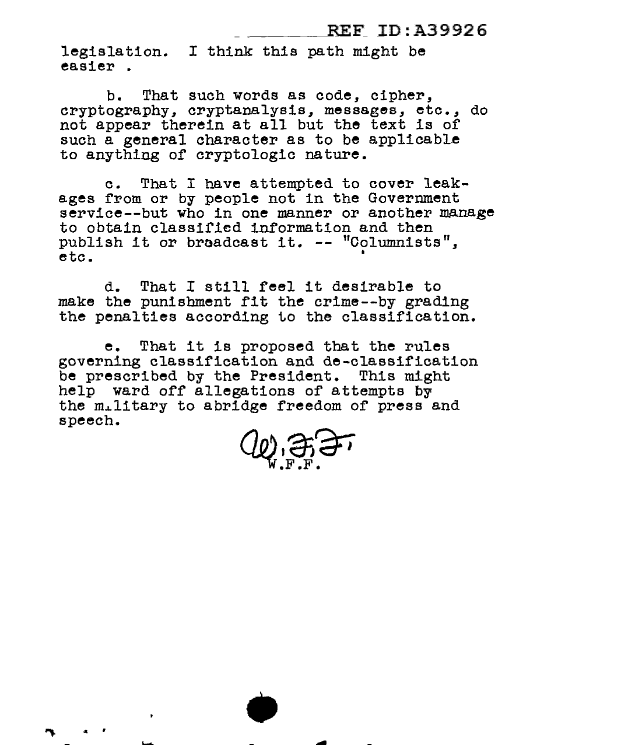## REF ID:A39926

legislation. I think this path might be easier .

b. That such words as code, cipher, cryptography, cryptanalysis, messages, etc., do not appear therein at all but the text is of such a general character as to be applicable to anything of cryptologic nature.

c. That I have attempted to cover leakages from or by people not in the Government service--but who in one manner or another manage to obtain classified information and then to obtain classified information and then<br>publish it or broadcast it. -- "Columnists",  $\frac{1}{2}$ etc.

d. That I still feel it desirable to make the punishment fit the crime--by grading the penalties according to the classification.

e. That it is proposed that the rules governing classification and de-classification be prescribed by the President. This might help ward off allegations of attempts by the military to abridge freedom of press and speech.

.,. " r • -

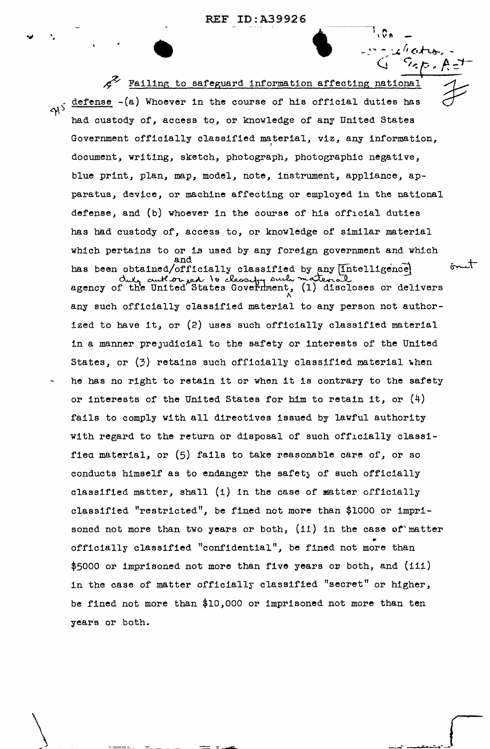REF ID:A39926 **I II. 199926** 

 $\mathfrak{g}_\mathfrak{m}$ 

 $r: 4$  (ctron).

 $/$ 

 $\int$ 

•<br>•<br>• Failing to safeguard information affecting national defense -(a) Whoever in the course of his official duties has  $\gamma$ <sup>}</sup> had custody of, access to, or knowledge of any United States Government officially classified material, viz, any information, document, writing, sketch, photograph, photographic negative, blue print, plan, map, model, note, instrument, appliance, apparatus, device, or machine affecting or employed in the national defense, and (b) whoever in the course of his official duties has had custody of, access to, or knowledge of similar material which pertains to or is used by any foreign government and which and ömet has been obtained/officially classified by any  $[Intelligence]$ <br>dut, anthropoly to classify such material duly cutter ged to classify such material discloses or delivers agency of the United States Government, (1) discloses or delivers any such officially classified material to any person not authorized to have it, or (2) uses such officially classified material in a manner prejudicial to the safety or interests of the United States, or  $(3)$  retains such officially classified material when he has no right to retain it or when it is contrary to the safety or interests of the United States for him to retain it, or  $(4)$ fails to comply with all directives issued by lawful authority with regard to the return or disposal of such officially classifiea material, or (5) fails to take reasonable care of, or so conducts himself as to endanger the safety of such officially classified matter, shall  $(1)$  in the case of matter officially classified "restricted", be fined not more than \$1000 or imprisoned not more than two years or both,  $(ii)$  in the case of matter • officially classified "conf'idential", be fined not more than  $$5000$  or imprisoned not more than five years or both, and (iii) in the case of matter officially classified "secret" or higher, be fined not more than \$10,000 or imprisoned not more than ten years or both.